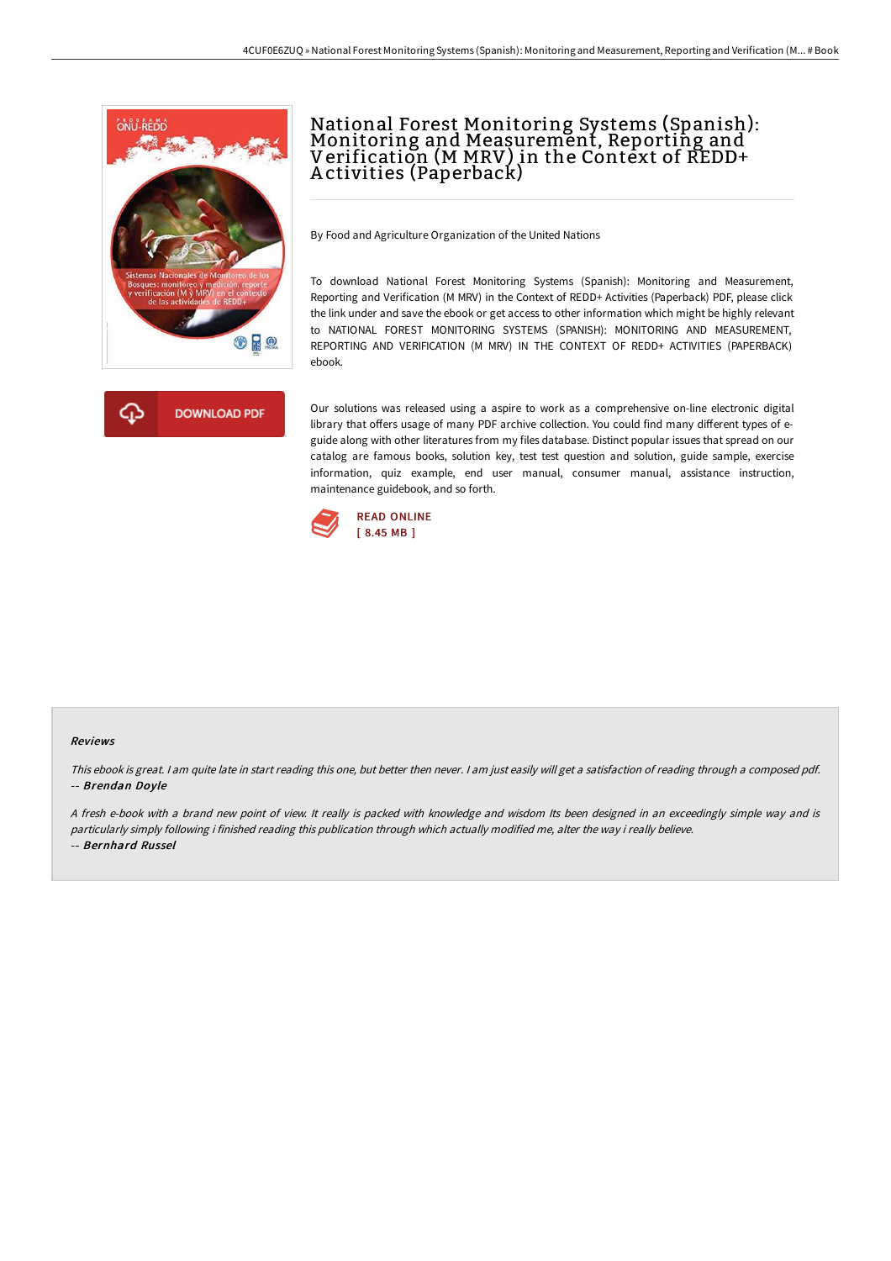

# National Forest Monitoring Systems (Spanish): Monitoring and Measurement, Reporting and Verification (M MRV) in the Context of REDD+ A ctivities (Paperback)

By Food and Agriculture Organization of the United Nations

To download National Forest Monitoring Systems (Spanish): Monitoring and Measurement, Reporting and Verification (M MRV) in the Context of REDD+ Activities (Paperback) PDF, please click the link under and save the ebook or get access to other information which might be highly relevant to NATIONAL FOREST MONITORING SYSTEMS (SPANISH): MONITORING AND MEASUREMENT, REPORTING AND VERIFICATION (M MRV) IN THE CONTEXT OF REDD+ ACTIVITIES (PAPERBACK) ebook.

Our solutions was released using a aspire to work as a comprehensive on-line electronic digital library that offers usage of many PDF archive collection. You could find many different types of eguide along with other literatures from my files database. Distinct popular issues that spread on our catalog are famous books, solution key, test test question and solution, guide sample, exercise information, quiz example, end user manual, consumer manual, assistance instruction, maintenance guidebook, and so forth.



#### Reviews

This ebook is great. I am quite late in start reading this one, but better then never. I am just easily will get a satisfaction of reading through a composed pdf. -- Brendan Doyle

<sup>A</sup> fresh e-book with <sup>a</sup> brand new point of view. It really is packed with knowledge and wisdom Its been designed in an exceedingly simple way and is particularly simply following i finished reading this publication through which actually modified me, alter the way i really believe. -- Bernhard Russel